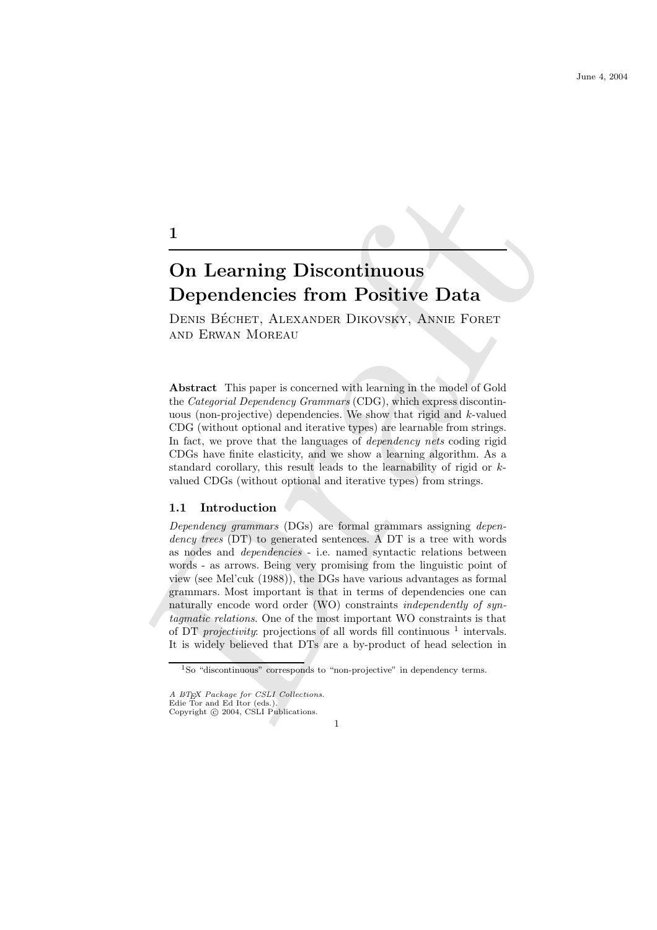DENIS BÉCHET, ALEXANDER DIKOVSKY, ANNIE FORET and Erwan Moreau

Abstract This paper is concerned with learning in the model of Gold the Categorial Dependency Grammars (CDG), which express discontinuous (non-projective) dependencies. We show that rigid and k-valued CDG (without optional and iterative types) are learnable from strings. In fact, we prove that the languages of dependency nets coding rigid CDGs have finite elasticity, and we show a learning algorithm. As a standard corollary, this result leads to the learnability of rigid or kvalued CDGs (without optional and iterative types) from strings.

## 1.1 Introduction

1

1<br> **On Learning Discontinuous**<br> **Dependencies from Positive Data**<br>
Dexis Bécuer, ALEXANDER DIKOVSKY, ANNIE FORFIT<br>
ADE ENNAY MOREAU<br>
Abstract This paper is concerned with learning in the model of Gold<br>
the Categorial Depe Dependency grammars (DGs) are formal grammars assigning dependency trees (DT) to generated sentences. A DT is a tree with words as nodes and dependencies - i.e. named syntactic relations between words - as arrows. Being very promising from the linguistic point of view (see Mel'cuk (1988)), the DGs have various advantages as formal grammars. Most important is that in terms of dependencies one can naturally encode word order (WO) constraints independently of syntagmatic relations. One of the most important WO constraints is that of DT *projectivity*: projections of all words fill continuous  $\frac{1}{1}$  intervals. It is widely believed that DTs are a by-product of head selection in

<sup>1</sup>So "discontinuous" corresponds to "non-projective" in dependency terms.

A ETEX Package for CSLI Collections.

Edie Tor and Ed Itor (eds.). Copyright  $\odot$  2004, CSLI Publications.

<sup>1</sup>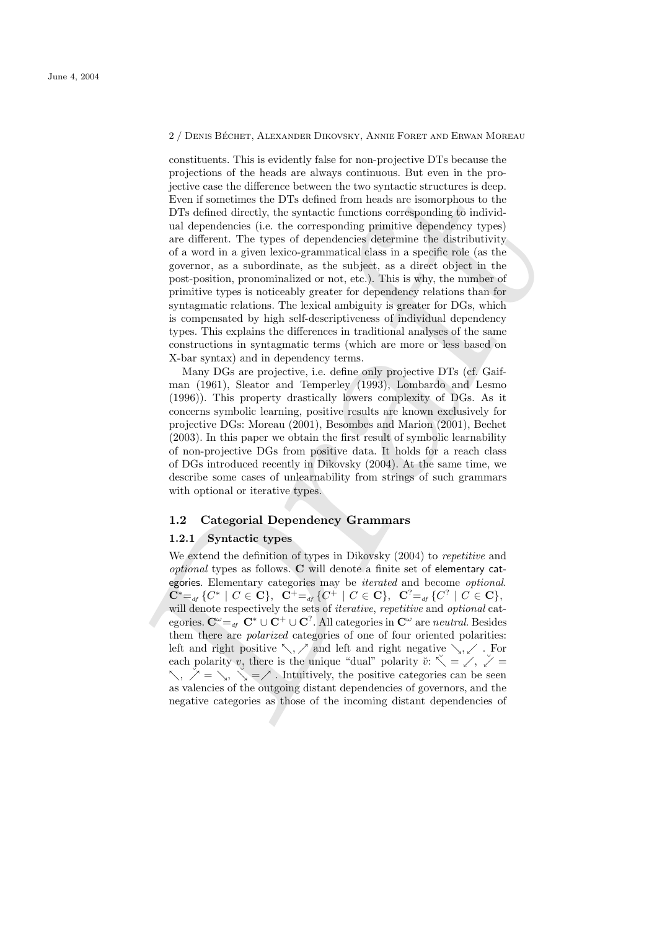2 / DENIS BÉCHET, ALEXANDER DIKOVSKY, ANNIE FORET AND ERWAN MOREAU

pertive case the difference between the two syntactic structures is denpthened by the DTs defined from heads are isomorphous to the DTs defined fired<br>by the syntactic functions corresponding chemicity dependency types)<br>ar constituents. This is evidently false for non-projective DTs because the projections of the heads are always continuous. But even in the projective case the difference between the two syntactic structures is deep. Even if sometimes the DTs defined from heads are isomorphous to the DTs defined directly, the syntactic functions corresponding to individual dependencies (i.e. the corresponding primitive dependency types) are different. The types of dependencies determine the distributivity of a word in a given lexico-grammatical class in a specific role (as the governor, as a subordinate, as the subject, as a direct object in the post-position, pronominalized or not, etc.). This is why, the number of primitive types is noticeably greater for dependency relations than for syntagmatic relations. The lexical ambiguity is greater for DGs, which is compensated by high self-descriptiveness of individual dependency types. This explains the differences in traditional analyses of the same constructions in syntagmatic terms (which are more or less based on X-bar syntax) and in dependency terms.

Many DGs are projective, i.e. define only projective DTs (cf. Gaifman (1961), Sleator and Temperley (1993), Lombardo and Lesmo (1996)). This property drastically lowers complexity of DGs. As it concerns symbolic learning, positive results are known exclusively for projective DGs: Moreau (2001), Besombes and Marion (2001), Bechet (2003). In this paper we obtain the first result of symbolic learnability of non-projective DGs from positive data. It holds for a reach class of DGs introduced recently in Dikovsky (2004). At the same time, we describe some cases of unlearnability from strings of such grammars with optional or iterative types.

### 1.2 Categorial Dependency Grammars

#### 1.2.1 Syntactic types

We extend the definition of types in Dikovsky  $(2004)$  to *repetitive* and optional types as follows. C will denote a finite set of elementary categories. Elementary categories may be iterated and become optional.  $\mathbf{C}^* =_{df} \{ C^* \mid C \in \mathbf{C} \}, \ \ \mathbf{C}^+ =_{df} \{ C^+ \mid C \in \mathbf{C} \}, \ \ \mathbf{C}^2 =_{df} \{ C^? \mid C \in \mathbf{C} \},$ will denote respectively the sets of *iterative*, *repetitive* and *optional* categories.  ${\bf C}^\omega{=}_{af} \: {\bf C}^* \cup {\bf C}^1 \cup {\bf C}^?$  . All categories in  ${\bf C}^\omega$  are neutral. Besides them there are polarized categories of one of four oriented polarities: left and right positive  $\setminus$ ,  $\nearrow$  and left and right negative  $\searrow$ ,  $\swarrow$  . For each polarity v, there is the unique "dual" polarity  $\check{v}: \check{\nwarrow} = \check{\swarrow}, \check{\swarrow} =$  $\langle \cdot, \cdot \rangle = \langle \cdot, \cdot \rangle = \langle \cdot \rangle$ . Intuitively, the positive categories can be seen as valencies of the outgoing distant dependencies of governors, and the negative categories as those of the incoming distant dependencies of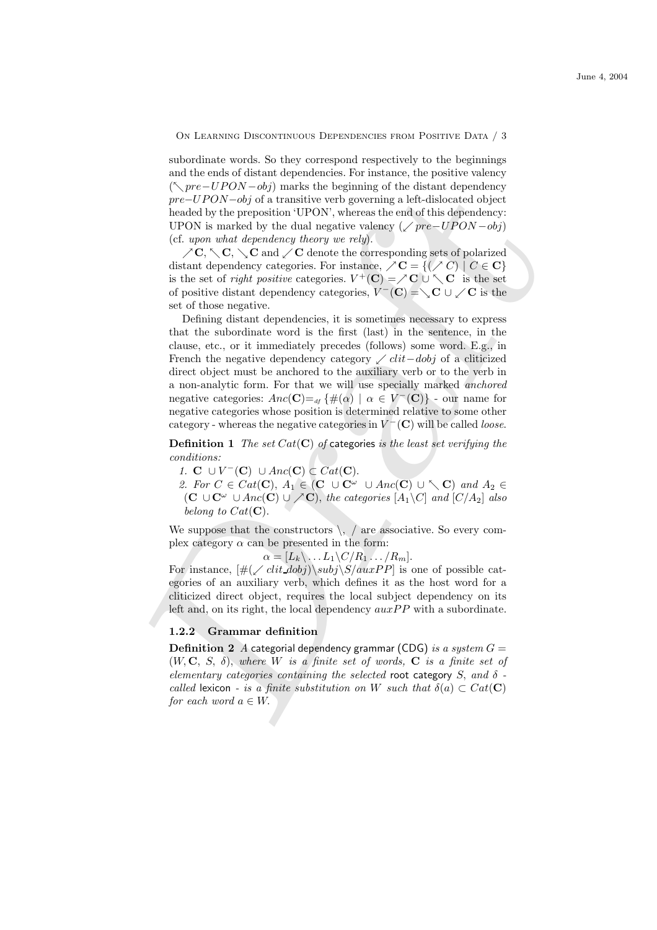subordinate words. So they correspond respectively to the beginnings and the ends of distant dependencies. For instance, the positive valency  $(\nwarrow pre-UPON-obj)$  marks the beginning of the distant dependency pre−UPON−obj of a transitive verb governing a left-dislocated object headed by the preposition 'UPON', whereas the end of this dependency: UPON is marked by the dual negative valency ( $\angle pre-UPON - obj$ ) (cf. upon what dependency theory we rely).

 $\angle C$ ,  $\diagdown C$ ,  $\diagdown C$  and  $\diagup C$  denote the corresponding sets of polarized distant dependency categories. For instance,  $\angle C = \{ (\angle C) | C \in \mathbb{C} \}$ is the set of *right positive* categories.  $V^+(\mathbf{C}) = \nearrow \mathbf{C} \cup \setminus \mathbf{C}$  is the set of positive distant dependency categories,  $V^-(\mathbf{C}) = \searrow \mathbf{C} \cup \swarrow \mathbf{C}$  is the set of those negative.

( $\sqrt{mc} = UP/ON - obj/m$  in<br>the line interaction by the desirate interaction of the definite method of<br>predicted by the prediction vertex that the definition of this dependency.<br>
UFON is marked by the dual negative valence ( $\sqrt{pc}$ Defining distant dependencies, it is sometimes necessary to express that the subordinate word is the first (last) in the sentence, in the clause, etc., or it immediately precedes (follows) some word. E.g., in French the negative dependency category  $\angle$  *clit–dobj* of a cliticized direct object must be anchored to the auxiliary verb or to the verb in a non-analytic form. For that we will use specially marked anchored negative categories:  $Anc(C) =_{df} \{ \#(\alpha) \mid \alpha \in V^{-}(C) \}$  - our name for negative categories whose position is determined relative to some other category - whereas the negative categories in  $V^-(\mathbf{C})$  will be called *loose*.

**Definition 1** The set  $Cat(C)$  of categories is the least set verifying the conditions:

- 1. C  $\cup V^-(C) \cup \text{Anc}(C) \subset \text{Cat}(C)$ .
- 2. For  $C \in Cat(\mathbf{C}), A_1 \in (\mathbf{C} \cup \mathbf{C}^{\omega} \cup Anc(\mathbf{C}) \cup \setminus \mathbf{C})$  and  $A_2 \in$  $(C \cup C^{\omega} \cup Anc(C) \cup \bigsetminus C)$ , the categories  $[A_1\setminus C]$  and  $[C/A_2]$  also belong to  $Cat(C)$ .

We suppose that the constructors  $\setminus$ , / are associative. So every complex category  $\alpha$  can be presented in the form:

$$
\alpha = [L_k \setminus \ldots L_1 \setminus C / R_1 \ldots / R_m].
$$

For instance,  $[\#(\angle \text{clit\_dobj})\subj\S/auxPP]$  is one of possible categories of an auxiliary verb, which defines it as the host word for a cliticized direct object, requires the local subject dependency on its left and, on its right, the local dependency  $auxPP$  with a subordinate.

#### 1.2.2 Grammar definition

**Definition 2** A categorial dependency grammar (CDG) is a system  $G =$  $(W, \mathbf{C}, S, \delta)$ , where W is a finite set of words,  $\mathbf{C}$  is a finite set of elementary categories containing the selected root category S, and  $\delta$  called lexicon - is a finite substitution on W such that  $\delta(a) \subset Cat(\mathbf{C})$ for each word  $a \in W$ .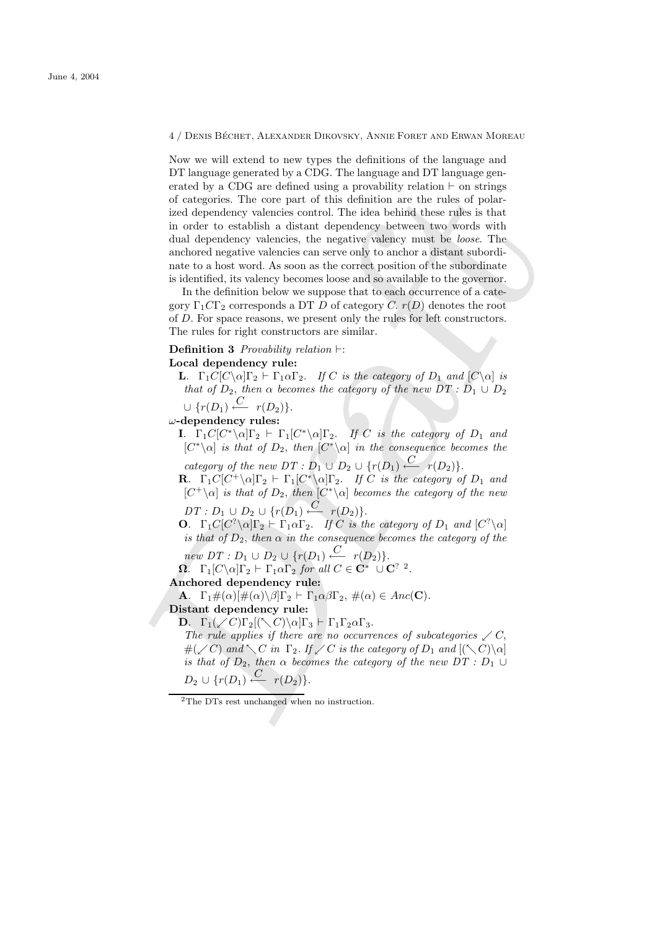ented by a CIV3 are defined using a provabing relation i- on structure of categories. The core part of this definition are the rules of polarized dependency valencies control. The ties behind these rules is that in order Now we will extend to new types the definitions of the language and DT language generated by a CDG. The language and DT language generated by a CDG are defined using a provability relation  $\vdash$  on strings of categories. The core part of this definition are the rules of polarized dependency valencies control. The idea behind these rules is that in order to establish a distant dependency between two words with dual dependency valencies, the negative valency must be *loose*. The anchored negative valencies can serve only to anchor a distant subordinate to a host word. As soon as the correct position of the subordinate is identified, its valency becomes loose and so available to the governor.

In the definition below we suppose that to each occurrence of a category  $\Gamma_1 C \Gamma_2$  corresponds a DT D of category C.  $r(D)$  denotes the root of D. For space reasons, we present only the rules for left constructors. The rules for right constructors are similar.

**Definition 3** Provability relation  $\vdash$ :

#### Local dependency rule:

**L.**  $\Gamma_1 C[C\setminus \alpha] \Gamma_2 \vdash \Gamma_1 \alpha \Gamma_2$ . If C is the category of  $D_1$  and  $[C\setminus \alpha]$  is that of  $D_2$ , then  $\alpha$  becomes the category of the new  $DT: D_1 \cup D_2$  $\cup$  { $r(D_1) \stackrel{C}{\longleftarrow} r(D_2)$  }.

 $\omega$ -dependency rules:

**I.**  $\Gamma_1 C[C^*\setminus \alpha] \Gamma_2 \vdash \Gamma_1 [C^*\setminus \alpha] \Gamma_2$ . If C is the category of  $D_1$  and  $[C^*\setminus\alpha]$  is that of  $D_2$ , then  $[C^*\setminus\alpha]$  in the consequence becomes the

category of the new  $DT: D_1 \cup D_2 \cup \{r(D_1) \stackrel{C}{\longleftarrow} r(D_2)\}.$ 

**R**.  $\Gamma_1 C[C^+\setminus \alpha] \Gamma_2 \vdash \Gamma_1 [C^*\setminus \alpha] \Gamma_2$ . If C is the category of  $D_1$  and  $[C^{\dagger}\backslash \alpha]$  is that of  $D_2$ , then  $[C^{\ast}\backslash \alpha]$  becomes the category of the new

 $DT: D_1 \cup D_2 \cup \{r(D_1) \stackrel{C}{\longleftarrow} r(D_2)\}.$ 

**O.**  $\Gamma_1 C[C^? \setminus \alpha] \Gamma_2 \vdash \Gamma_1 \alpha \Gamma_2$ . If C is the category of  $D_1$  and  $[C^? \setminus \alpha]$ is that of  $D_2$ , then  $\alpha$  in the consequence becomes the category of the

 $new\ DT: D_1 \cup D_2 \cup \{r(D_1) \stackrel{C}{\longleftarrow} r(D_2)\}.$ 

 $\Omega$ .  $\Gamma_1[C\backslash \alpha]\Gamma_2 \vdash \Gamma_1\alpha\Gamma_2$  for all  $C \in \mathbf{C}^* \cup \mathbf{C}^2$ .

### Anchored dependency rule:

**A.**  $\Gamma_1 \#(\alpha) [\#(\alpha) \setminus \beta] \Gamma_2 \vdash \Gamma_1 \alpha \beta \Gamma_2, \#(\alpha) \in \text{Anc}(\mathbf{C}).$ 

## Distant dependency rule:

**D.**  $\Gamma_1(\angle C)\Gamma_2[(\angle C)\setminus \alpha]\Gamma_3 \vdash \Gamma_1\Gamma_2\alpha\Gamma_3.$ 

The rule applies if there are no occurrences of subcategories  $\angle C$ ,  $\#(\swarrow C)$  and  $\searrow C$  in  $\Gamma_2$ . If  $\swarrow C$  is the category of  $D_1$  and  $[(\searrow C)\searrow a]$ is that of  $D_2$ , then  $\alpha$  becomes the category of the new  $DT : D_1 \cup$  $D_2 \cup \{r(D_1) \stackrel{C}{\longleftarrow} r(D_2)\}.$ 

<sup>2</sup>The DTs rest unchanged when no instruction.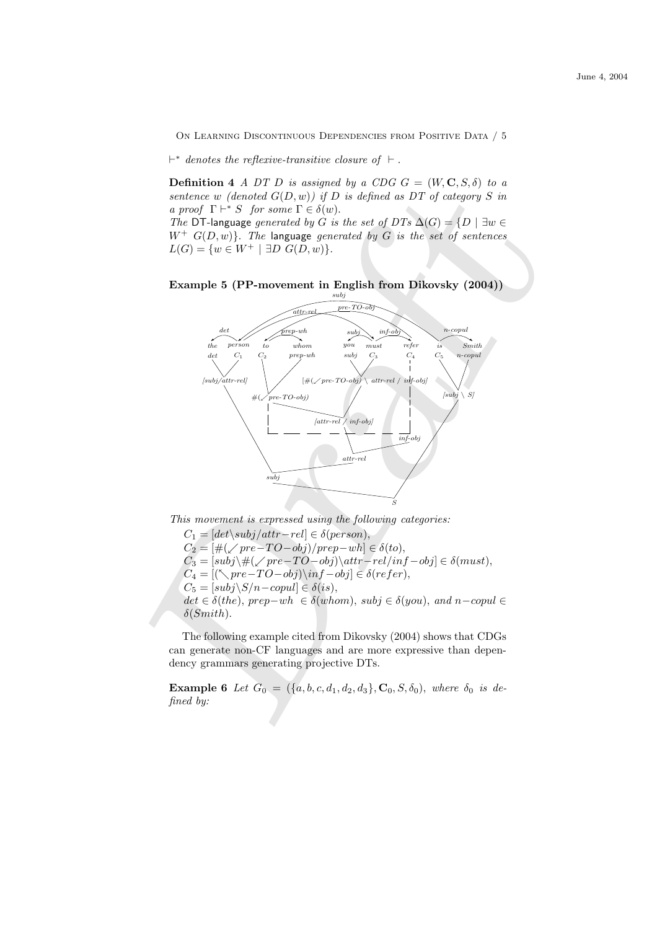$\vdash^*$  denotes the reflexive-transitive closure of  $\vdash$ .

**Definition 4** A DT D is assigned by a CDG  $G = (W, \mathbf{C}, S, \delta)$  to a sentence w (denoted  $G(D, w)$ ) if D is defined as DT of category S in a proof  $\Gamma \vdash^* S$  for some  $\Gamma \in \delta(w)$ .

The DT-language generated by G is the set of DTs  $\Delta(G) = \{D \mid \exists w \in$  $W^+$   $G(D, w)$ . The language generated by G is the set of sentences  $L(G) = \{w \in W^+ \mid \exists D \ G(D, w)\}.$ 





This movement is expressed using the following categories:

 $C_1 = [det\$ subj/attr−rel]  $\in \delta(person)$ ,  $C_2 = [\#(\sqrt{pre-TO-obj})/prep-wh] \in \delta(to),$  $C_3 = [subj\setminus\#(\swarrow pre-TO-obj)\setminus attr-rel/inf-obj] \in \delta(must),$  $C_4 = [(\sqrt{pre-TO-obj})\in \delta(refer),$  $C_5 = [subj\$ S/n-copul] \in \delta(is),  $det \in \delta(the), \, prep-wh \in \delta(whom), \, subj \in \delta(you), \, and \, n-copul \in$  $\delta(Smith)$ .

The following example cited from Dikovsky (2004) shows that CDGs can generate non-CF languages and are more expressive than dependency grammars generating projective DTs.

**Example 6** Let  $G_0 = (\{a, b, c, d_1, d_2, d_3\}, \mathbf{C}_0, S, \delta_0)$ , where  $\delta_0$  is defined by: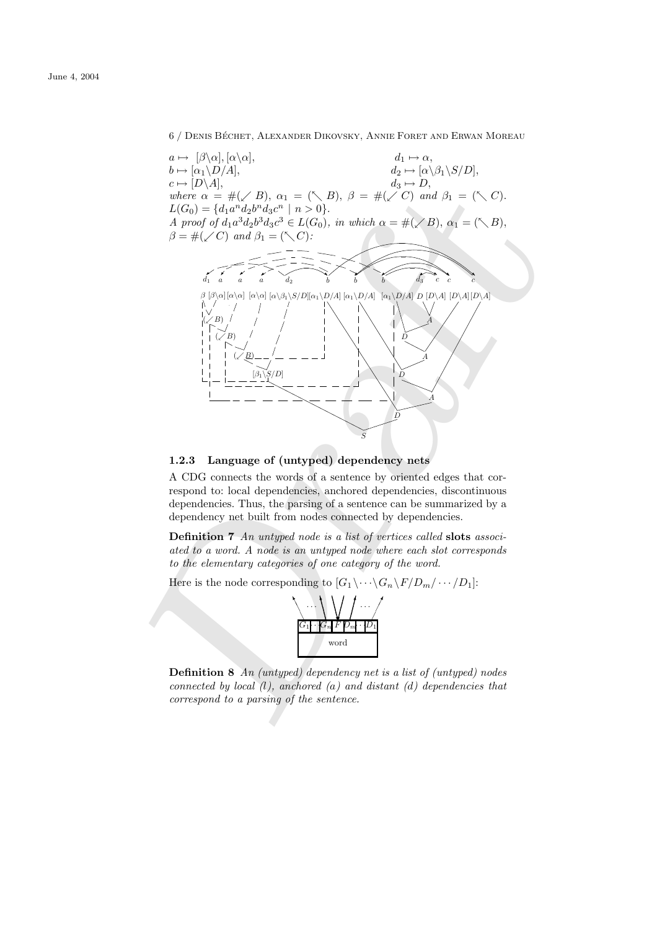6 / DENIS BÉCHET, ALEXANDER DIKOVSKY, ANNIE FORET AND ERWAN MOREAU



## 1.2.3 Language of (untyped) dependency nets

A CDG connects the words of a sentence by oriented edges that correspond to: local dependencies, anchored dependencies, discontinuous dependencies. Thus, the parsing of a sentence can be summarized by a dependency net built from nodes connected by dependencies.

Definition 7 An untyped node is a list of vertices called slots associated to a word. A node is an untyped node where each slot corresponds to the elementary categories of one category of the word.

Here is the node corresponding to  $[G_1 \backslash \cdots \backslash G_n \backslash F/D_m / \cdots / D_1]$ :



**Definition 8** An (untyped) dependency net is a list of (untyped) nodes connected by local  $(l)$ , anchored  $(a)$  and distant  $(d)$  dependencies that correspond to a parsing of the sentence.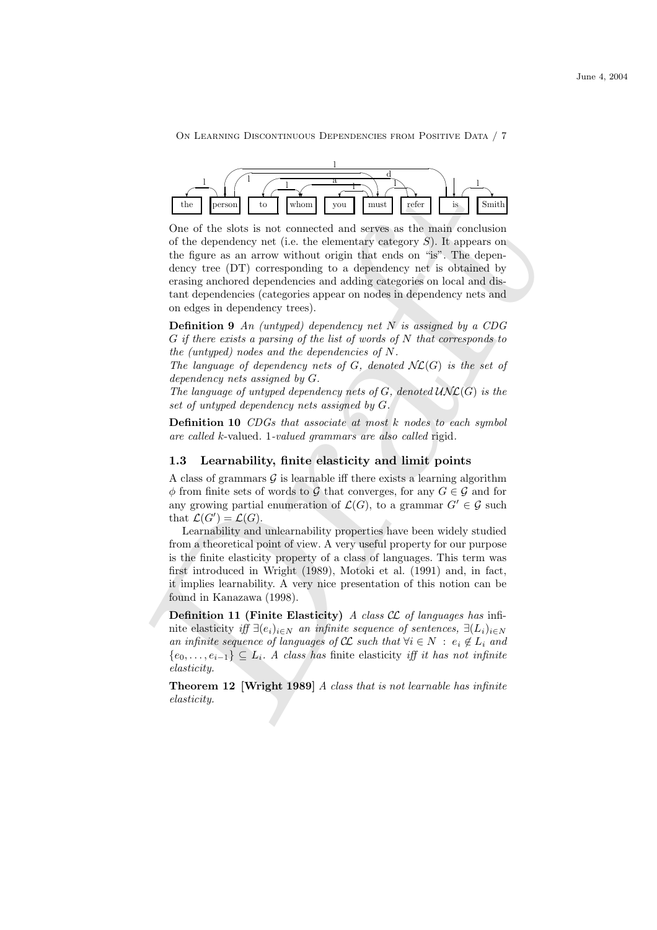

 $\begin{tabular}{|c||c|} \hline & the & & & & & & & \\ \hline & & & & & & & \\ \hline & & & & & & & \\ \hline & & & & & & & \\ \hline & & & & & & & \\ \hline & & & & & & & \\ \hline & & & & & & & \\ \hline & & & & & & & \\ \hline & & & & & & & \\ \hline & & & & & & & \\ \hline & & & & & & & \\ \hline & & & & & & & \\ \hline & & & & & & & \\ \hline & & & & & & & \\ \hline & & & & & & & \\ \hline & & & & & & & \\ \hline & & & & & & & \\ \hline & & & & & & & \\ \hline & & & & &$ One of the slots is not connected and serves as the main conclusion of the dependency net (i.e. the elementary category  $S$ ). It appears on the figure as an arrow without origin that ends on "is". The dependency tree (DT) corresponding to a dependency net is obtained by erasing anchored dependencies and adding categories on local and distant dependencies (categories appear on nodes in dependency nets and on edges in dependency trees).

**Definition 9** An (untyped) dependency net N is assigned by a CDG  $G$  if there exists a parsing of the list of words of  $N$  that corresponds to the (untyped) nodes and the dependencies of N.

The language of dependency nets of G, denoted  $N\mathcal{L}(G)$  is the set of dependency nets assigned by G.

The language of untyped dependency nets of  $G$ , denoted  $\mathcal{UNL}(G)$  is the set of untyped dependency nets assigned by G.

Definition 10 CDGs that associate at most k nodes to each symbol are called k-valued. 1-valued grammars are also called rigid.

#### 1.3 Learnability, finite elasticity and limit points

A class of grammars  $\mathcal G$  is learnable iff there exists a learning algorithm  $\phi$  from finite sets of words to G that converges, for any  $G \in \mathcal{G}$  and for any growing partial enumeration of  $\mathcal{L}(G)$ , to a grammar  $G' \in \mathcal{G}$  such that  $\mathcal{L}(G') = \mathcal{L}(G)$ .

Learnability and unlearnability properties have been widely studied from a theoretical point of view. A very useful property for our purpose is the finite elasticity property of a class of languages. This term was first introduced in Wright (1989), Motoki et al. (1991) and, in fact, it implies learnability. A very nice presentation of this notion can be found in Kanazawa (1998).

**Definition 11 (Finite Elasticity)** A class  $CL$  of languages has infinite elasticity iff  $\exists (e_i)_{i\in N}$  an infinite sequence of sentences,  $\exists (L_i)_{i\in N}$ an infinite sequence of languages of  $\mathcal{CL}$  such that  $\forall i \in N : e_i \notin L_i$  and  ${e_0, \ldots, e_{i-1}} \subseteq L_i$ . A class has finite elasticity iff it has not infinite elasticity.

Theorem 12 [Wright 1989] A class that is not learnable has infinite elasticity.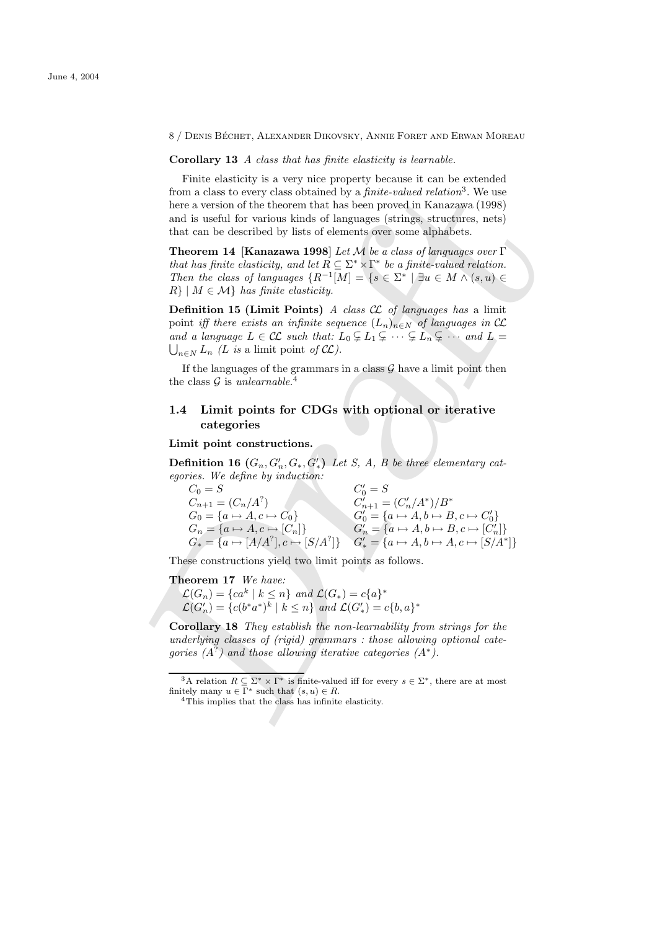8 / DENIS BÉCHET, ALEXANDER DIKOVSKY, ANNIE FORET AND ERWAN MOREAU

Corollary 13 A class that has finite elasticity is learnable.

Finite elasticity is a very nice property because it can be extended from a class to every class obtained by a *finite-valued relation*<sup>3</sup>. We use here a version of the theorem that has been proved in Kanazawa (1998) and is useful for various kinds of languages (strings, structures, nets) that can be described by lists of elements over some alphabets.

Theorem 14 [Kanazawa 1998] Let M be a class of languages over  $\Gamma$ that has finite elasticity, and let  $R \subseteq \Sigma^* \times \Gamma^*$  be a finite-valued relation. Then the class of languages  $\{R^{-1}[M] = \{s \in \Sigma^* \mid \exists u \in M \land (s, u) \in$  $R\mid M \in \mathcal{M}$  has finite elasticity.

**Definition 15 (Limit Points)** A class  $CL$  of languages has a limit point iff there exists an infinite sequence  $(L_n)_{n\in\mathbb{N}}$  of languages in  $\mathcal{CL}$ and a language  $L \in \mathcal{CL}$  such that:  $L_0 \subsetneq L_1 \subsetneq \cdots \subsetneq L_n \subsetneq \cdots$  and  $L =$  $\bigcup_{n\in N} L_n$  (L is a limit point of  $\mathcal{CL}$ ).

If the languages of the grammars in a class  $\mathcal G$  have a limit point then the class  $\mathcal G$  is unlearnable.<sup>4</sup>

# 1.4 Limit points for CDGs with optional or iterative categories

#### Limit point constructions.

**Definition 16**  $(G_n, G'_n, G_*, G'_*)$  Let S, A, B be three elementary categories. We define by induction:

from a closs to every closs obtained by a fraite-valued relation?. We use<br>between that the shown proved in Kanovaya (1998)<br>and is useful to various kinds been proved in Kanovaya (1998)<br>and is useful for various kinds of c  $C_0 = S$   $C'_0 = S$  $C'_{n+1} = (C'_n/A^2)$   $C'_{n+1} = (C'_n/A^*)/B^*$  $G_0 = \{a \mapsto A, c \mapsto C_0\}$   $G'_0 = \{a \mapsto A, b \mapsto B, c \mapsto C'_0\}$  $G_n = \{a \mapsto A, c \mapsto [C_n]\}$   $G'_n = \{a \mapsto A, b \mapsto B, c \mapsto [C'_n]\}$  $G_* = \{a \mapsto [A/A^?], c \mapsto [S/A^?]\}$   $G'_* = \{a \mapsto A, b \mapsto A, c \mapsto [S/A^*]\}$ 

These constructions yield two limit points as follows.

# Theorem 17 We have:

 $\mathcal{L}(G_n) = \{ca^k \mid k \leq n\}$  and  $\mathcal{L}(G_*) = c\{a\}^*$  $\mathcal{L}(G'_n) = \{c(b^*a^*)^k \mid k \leq n\}$  and  $\mathcal{L}(G'_*) = c\{b,a\}^*$ 

Corollary 18 They establish the non-learnability from strings for the underlying classes of (rigid) grammars : those allowing optional categories  $(A^?)$  and those allowing iterative categories  $(A^*)$ .

<sup>3</sup>A relation  $R \subseteq \Sigma^* \times \Gamma^*$  is finite-valued iff for every  $s \in \Sigma^*$ , there are at most finitely many  $u \in \overline{\Gamma}^*$  such that  $(s, u) \in R$ .

<sup>4</sup>This implies that the class has infinite elasticity.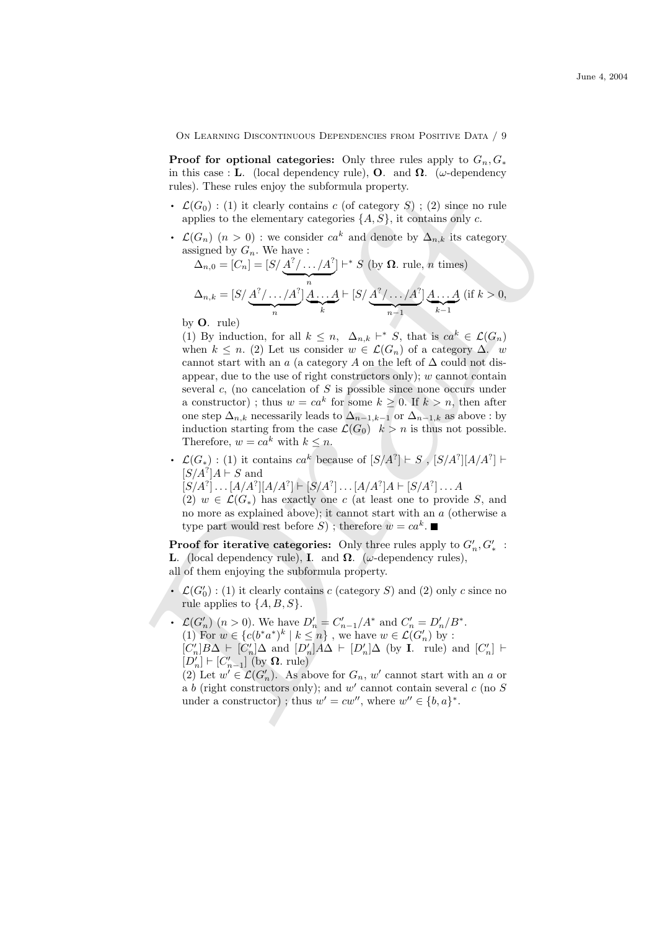**Proof for optional categories:** Only three rules apply to  $G_n, G_*$ in this case : L. (local dependency rule), O. and  $\Omega$ . ( $\omega$ -dependency rules). These rules enjoy the subformula property.

- $\mathcal{L}(G_0)$ : (1) it clearly contains c (of category S); (2) since no rule applies to the elementary categories  $\{A, S\}$ , it contains only c.
- $\mathcal{L}(G_n)$   $(n > 0)$ : we consider  $ca^k$  and denote by  $\Delta_{n,k}$  its category assigned by  $G_n$ . We have :

$$
\Delta_{n,0} = [C_n] = [S/\underbrace{A^2/\dots/A^2}_{n}]^{+*} S \text{ (by } \Omega \text{. rule, } n \text{ times})
$$

$$
\Delta_{n,k} = [S/\underbrace{A^2/\dots/A^2}_{n}] \underbrace{A\dots A}_{k} \vdash [S/\underbrace{A^2/\dots/A^2}_{n-1}] \underbrace{A\dots A}_{k-1} \text{ (if } k > 0,
$$

by O. rule)

rise). These miles with stibutural<br>  $\mathbf{r} \cdot \mathcal{L}(G_0)$  (1) it clearly optations  $\mathbf{r} \cdot (\mathbf{d} \cdot \mathbf{c})$ ;  $\mathcal{L}(G_0) \cdot (\mathbf{u})$  it clearly contains  $\mathbf{r} \cdot (\mathbf{d} \cdot \mathbf{c})$ ;  $\mathcal{L}(G_0) \cdot (\mathbf{u})$  of the demonstrary catego (1) By induction, for all  $k \leq n$ ,  $\Delta_{n,k} \vdash^{*} S$ , that is  $ca^{k} \in \mathcal{L}(G_n)$ when  $k \leq n$ . (2) Let us consider  $w \in \mathcal{L}(G_n)$  of a category  $\Delta$ . w cannot start with an a (a category A on the left of  $\Delta$  could not disappear, due to the use of right constructors only);  $w$  cannot contain several  $c$ , (no cancelation of  $S$  is possible since none occurs under a constructor); thus  $w = ca^k$  for some  $k \geq 0$ . If  $k > n$ , then after one step  $\Delta_{n,k}$  necessarily leads to  $\Delta_{n-1,k-1}$  or  $\Delta_{n-1,k}$  as above : by induction starting from the case  $\mathcal{L}(G_0)$   $k > n$  is thus not possible. Therefore,  $w = ca^k$  with  $k \leq n$ . Therefore,  $w = ca^k$  with  $k \leq n$ .<br>
•  $\mathcal{L}(G_*) : (1)$  it contains  $ca^k$  because of  $[S/A^?] \vdash S$ ,  $[S/A^?][A/A^?] \vdash$ 

 $[S/A^?]A \vdash S$  and

 $[S/A^?] \dots [A/A^?][A/A^?] \vdash [S/A^?] \dots [A/A^?]A \vdash [S/A^?] \dots A$ 

(2)  $w \in \mathcal{L}(G_*)$  has exactly one c (at least one to provide S, and no more as explained above); it cannot start with an a (otherwise a type part would rest before  $S$ ); therefore  $w = ca^k$ .

**Proof for iterative categories:** Only three rules apply to  $G'_n, G'_*$  : L. (local dependency rule), I. and  $\Omega$ . (ω-dependency rules),

- all of them enjoying the subformula property.<br>  $\mathcal{L}(G'_0)$ : (1) it clearly contains c (category S  $S<sub>0</sub>$  : (1) it clearly contains c (category S) and (2) only c since no rule applies to  $\{A, B, S\}.$
- rule applies to  $\{A, B, S\}$ .<br>
  $\mathcal{L}(G'_n)$   $(n > 0)$ . We have  $D'_n = C'_{n-1}/A^*$  and  $C'_n = D'_n/B^*$ . (1) For  $w \in \{c(b^*a^*)^k \mid k \leq n\}$ , we have  $w \in \mathcal{L}(G'_n)$  by :  $[C'_n]B\Delta \vdash [C'_n]\Delta$  and  $[D'_n]A\Delta \vdash [D'_n]\Delta$  (by **I**. rule) and  $[C'_n] \vdash$  $[D'_n] \vdash [C'_{n-1}]$  (by  $\Omega$ . rule)

(2) Let  $w' \in \mathcal{L}(G'_n)$ . As above for  $G_n$ , w' cannot start with an a or<br>a b (right constructors only); and w' cannot contain several c (no S a b (right constructors only); and  $w'$  cannot contain several c (no S under a constructor); thus  $w' = cw''$ , where  $w'' \in \{b, a\}^*$ .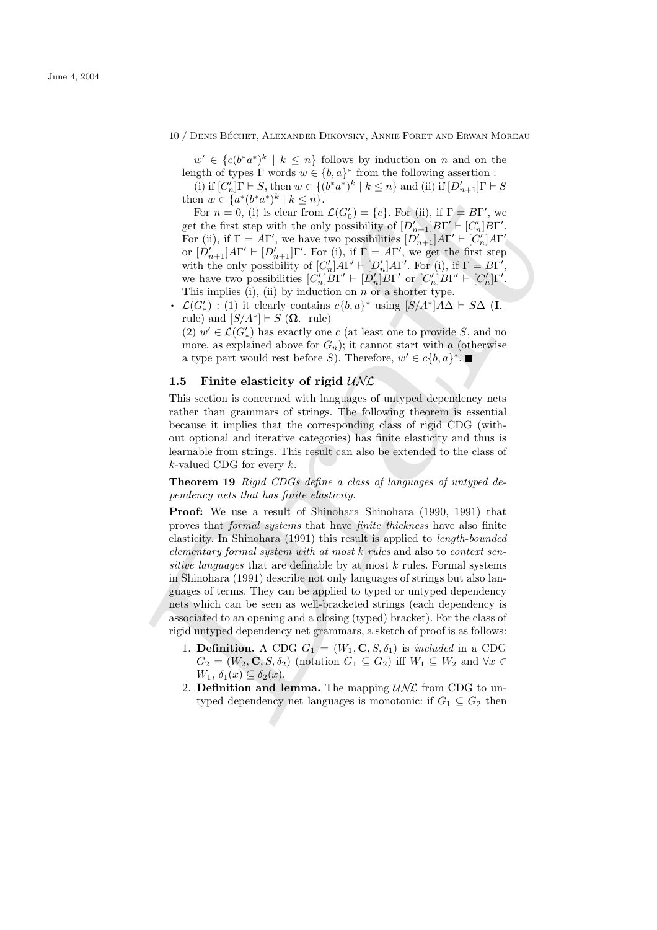$w' \in \{c(b^*a^*)^k \mid k \leq n\}$  follows by induction on n and on the length of types  $\Gamma$  words  $w \in \{b, a\}^*$  from the following assertion :

(i) if  $[C'_n]\Gamma \vdash S$ , then  $w \in \{(b^*a^*)^k \mid k \leq n\}$  and (ii) if  $[D'_{n+1}]\Gamma \vdash S$ then  $w \in \{a^*(b^*a^*)^k \mid k \leq n\}.$ 

For  $n = 0$ , (i) is clear from  $\mathcal{L}(G_0') = \{c\}$ . For (ii), if  $\Gamma = B\Gamma'$ , we get the first step with the only possibility of  $[D'_{n+1}]B\Gamma' \vdash [C'_{n}]B\Gamma'.$ For (ii), if  $\Gamma = A\Gamma'$ , we have two possibilities  $[D'_{n+1}]A\Gamma' \vdash [C'_{n}]A\Gamma'$ or  $[D'_{n+1}]A\Gamma' \vdash [D'_{n+1}]\Gamma'$ . For (i), if  $\Gamma = A\Gamma'$ , we get the first step with the only possibility of  $[C'_n]A\Gamma' \vdash [D'_n]A\Gamma'$ . For (i), if  $\Gamma = B\Gamma'$ , we have two possibilities  $[C'_n]B\Gamma' \vdash [D'_n]B\Gamma'$  or  $[C'_n]B\Gamma' \vdash [C'_n]\Gamma'.$ This implies (i), (ii) by induction on  $n$  or a shorter type. we have two possibilities  $[\cup_n]$  $\mathbf{L} + [\cup_n]$  $\mathbf{L}$  of  $[\cup_n]$  $\mathbf{L} + [\cup_n]$  $\mathbf{L}$ <br>This implies (i), (ii) by induction on *n* or a shorter type.<br>•  $\mathcal{L}(G')$  : (1) it clearly contains  $c\{b, a\}^*$  using  $[S/A^*]A\Delta \vdash S\Delta$ 

rule) and  $[S/A^*] \vdash S$  ( $\Omega$ . rule)

(2)  $w' \in \mathcal{L}(G')$  has exactly one c (at least one to provide S, and no more, as explained above for  $G_n$ ); it cannot start with a (otherwise a type part would rest before S). Therefore,  $w' \in c\{b, a\}^*$ .

# 1.5 Finite elasticity of rigid  $U/\mathcal{N}$

This section is concerned with languages of untyped dependency nets rather than grammars of strings. The following theorem is essential because it implies that the corresponding class of rigid CDG (without optional and iterative categories) has finite elasticity and thus is learnable from strings. This result can also be extended to the class of  $k$ -valued CDG for every  $k$ .

Theorem 19 Rigid CDGs define a class of languages of untyped dependency nets that has finite elasticity.

(1)  $W(G_1)^{11} \times 5$ , then  $w \in \{q^*(b^*a^*)^*\mid k \leq n\}$  and (ii) it  $|U_{n+1}|^{11} \cdot 5$ <br>
then  $w \in \{a^*(b^*a^*)^*\mid k \leq n\}$ . For  $\{0, -1, -1\}$ , we<br>
for  $n = 0$ , (ii) is clear from  $Z(G_0^*) = \{c\}$ , For  $(0), +1$   $\Gamma = BY$ , we<br>
get the f Proof: We use a result of Shinohara Shinohara (1990, 1991) that proves that formal systems that have finite thickness have also finite elasticity. In Shinohara (1991) this result is applied to length-bounded elementary formal system with at most k rules and also to context sensitive languages that are definable by at most  $k$  rules. Formal systems in Shinohara (1991) describe not only languages of strings but also languages of terms. They can be applied to typed or untyped dependency nets which can be seen as well-bracketed strings (each dependency is associated to an opening and a closing (typed) bracket). For the class of rigid untyped dependency net grammars, a sketch of proof is as follows:

- 1. **Definition.** A CDG  $G_1 = (W_1, \mathbf{C}, S, \delta_1)$  is *included* in a CDG  $G_2 = (W_2, \mathbf{C}, S, \delta_2)$  (notation  $G_1 \subseteq G_2$ ) iff  $W_1 \subseteq W_2$  and  $\forall x \in$  $W_1, \, \delta_1(x) \subseteq \delta_2(x)$ .
- 2. Definition and lemma. The mapping  $\mathcal{UNL}$  from CDG to untyped dependency net languages is monotonic: if  $G_1 \subseteq G_2$  then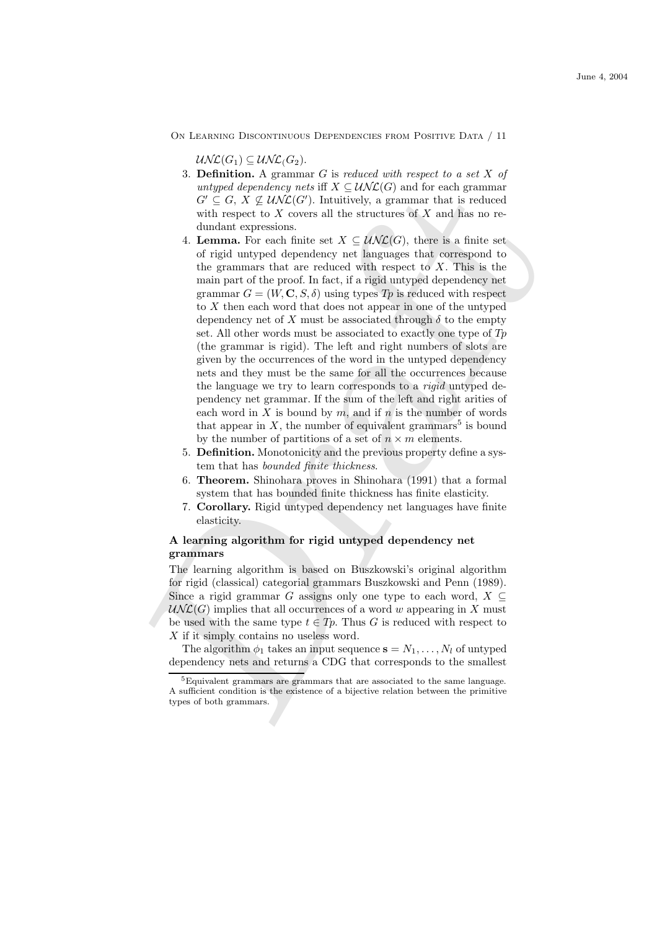$\mathcal{U}\mathcal{N}\mathcal{L}(G_1) \subseteq \mathcal{U}\mathcal{N}\mathcal{L}(G_2).$ 

- 3. **Definition.** A grammar  $G$  is reduced with respect to a set  $X$  of untyped dependency nets iff  $X \subseteq \mathcal{UNL}(G)$  and for each grammar  $G' \subseteq G, X \nsubseteq \mathcal{UNL}(G')$ . Intuitively, a grammar that is reduced with respect to  $X$  covers all the structures of  $X$  and has no redundant expressions.
- why heat dependency nots if  $X \subseteq U\times U \cup U$  and for each granumar that is reduced<br>of  $G' \subseteq G$ ,  $X \not\subseteq U\times U \cup U$ . Intuitively, a granumar that is reduced<br>with respect to X covers all the structures of X and bas no re-<br>dundant ex 4. **Lemma.** For each finite set  $X \subseteq \mathcal{UNL}(G)$ , there is a finite set of rigid untyped dependency net languages that correspond to the grammars that are reduced with respect to  $X$ . This is the main part of the proof. In fact, if a rigid untyped dependency net grammar  $G = (W, \mathbf{C}, S, \delta)$  using types  $T_p$  is reduced with respect to X then each word that does not appear in one of the untyped dependency net of X must be associated through  $\delta$  to the empty set. All other words must be associated to exactly one type of  $Tp$ (the grammar is rigid). The left and right numbers of slots are given by the occurrences of the word in the untyped dependency nets and they must be the same for all the occurrences because the language we try to learn corresponds to a rigid untyped dependency net grammar. If the sum of the left and right arities of each word in X is bound by m, and if n is the number of words that appear in  $X$ , the number of equivalent grammars<sup>5</sup> is bound by the number of partitions of a set of  $n \times m$  elements.
	- 5. Definition. Monotonicity and the previous property define a system that has bounded finite thickness.
	- 6. Theorem. Shinohara proves in Shinohara (1991) that a formal system that has bounded finite thickness has finite elasticity.
	- 7. Corollary. Rigid untyped dependency net languages have finite elasticity.

# A learning algorithm for rigid untyped dependency net grammars

The learning algorithm is based on Buszkowski's original algorithm for rigid (classical) categorial grammars Buszkowski and Penn (1989). Since a rigid grammar G assigns only one type to each word,  $X \subseteq$  $\mathcal{UNL}(G)$  implies that all occurrences of a word w appearing in X must be used with the same type  $t \in T_p$ . Thus G is reduced with respect to X if it simply contains no useless word.

The algorithm  $\phi_1$  takes an input sequence  $\mathbf{s} = N_1, \ldots, N_l$  of untyped dependency nets and returns a CDG that corresponds to the smallest

 ${}^{5}$ Equivalent grammars are grammars that are associated to the same language. A sufficient condition is the existence of a bijective relation between the primitive types of both grammars.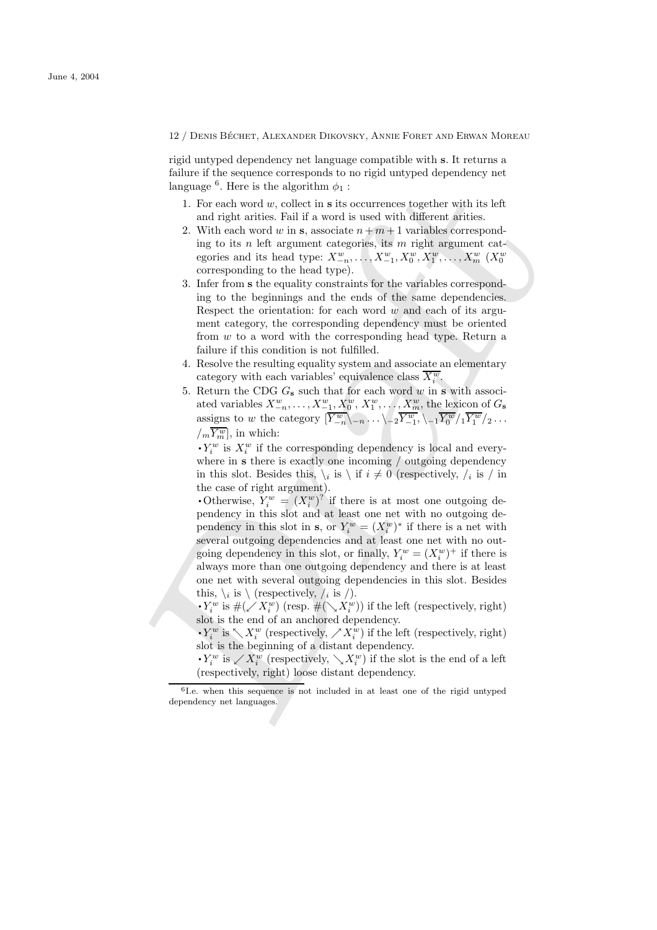rigid untyped dependency net language compatible with s. It returns a failure if the sequence corresponds to no rigid untyped dependency net language<sup>6</sup>. Here is the algorithm  $\phi_1$ :

- 1. For each word  $w$ , collect in  $s$  its occurrences together with its left and right arities. Fail if a word is used with different arities.
- 2. With each word w in s, associate  $n + m + 1$  variables corresponding to its n left argument categories, its  $m$  right argument categories and its head type:  $X_{-n}^w, \ldots, X_{-1}^w, X_0^w, X_1^w, \ldots, X_m^w$  ( $X_0^w$ ) corresponding to the head type).
- 3. Infer from s the equality constraints for the variables corresponding to the beginnings and the ends of the same dependencies. Respect the orientation: for each word  $w$  and each of its argument category, the corresponding dependency must be oriented from w to a word with the corresponding head type. Return a failure if this condition is not fulfilled.
- 4. Resolve the resulting equality system and associate an elementary category with each variables' equivalence class  $\overline{X_i^w}$ .
- 5. Return the CDG  $G_s$  such that for each word w in s with associated variables  $X_{-n}^w, \ldots, X_{-1}^w, X_0^w, X_1^w, \ldots, X_m^w$ , the lexicon of  $G_s$ assigns to w the category  $\left[\overline{Y}_{-n}^w\right\rangle_{-n}\ldots\setminus_{-2}\overline{Y}_{-1}^w, \setminus_{-1}\overline{Y_0^w}/_1\overline{Y_1^w}/_2\ldots$  $\sqrt{m} \overline{Y_m^w}$ , in which:<br>  $\cdot Y_i^w$  is  $X_i^w$  if the

 $\zeta_i^w$  is  $X_i^w$  if the corresponding dependency is local and everywhere in s there is exactly one incoming / outgoing dependency in this slot. Besides this,  $\setminus_i$  is  $\setminus$  if  $i \neq 0$  (respectively,  $\setminus_i$  is  $\setminus$  in the case of right argument). in this stot. Besides this,  $\chi_i$  is  $\chi_i$  if  $i \neq 0$  (respectively,  $\chi_i$  is  $\chi_i$  in the case of right argument).<br>
• Otherwise,  $Y_i^w = (X_i^w)^2$  if there is at most one outgoing de-

is my<br>anguage." Here is the algorithm of : i.e. For each word w, collect in s its occurrences together with its left<br>and right carities. Fall if a word is used vith different frities.<br>2. With each word w in s, associate pendency in this slot and at least one net with no outgoing dependency in this slot in **s**, or  $Y_i^w = (X_i^w)^*$  if there is a net with several outgoing dependencies and at least one net with no outgoing dependency in this slot, or finally,  $Y_i^w = (X_i^w)^+$  if there is always more than one outgoing dependency and there is at least one net with several outgoing dependencies in this slot. Besides this,  $\setminus_i$  is  $\setminus$  (respectively, /<sub>i</sub> is /).<br>  $\cdot Y_i^w$  is  $\#(\mathcal{X}_i^w)$  (resp.  $\#(\setminus X_i^w)$ )

 $W_i^w$  is  $\#(\swarrow X_i^w)$  (resp.  $\#(\searrow X_i^w)$ ) if the left (respectively, right) slot is the end of an anchored dependency. If  $\sum_i$  is  $\#(\sqrt{X_i})$  (resp.  $\#(\sqrt{X_i})$ ) if the left (respectively, right)<br>slot is the end of an anchored dependency.<br> $\cdot Y_i^w$  is  $\sum X_i^w$  (respectively,  $\nearrow X_i^w$ ) if the left (respectively, right)

 $\bullet$   $I_i$  is  $\setminus$   $\Lambda_i$  (respectively,  $\setminus$   $\Lambda_i$ ) if the left<br>slot is the beginning of a distant dependency.<br> $\bullet$  $Y_i^w$  is  $\setminus$   $X_i^w$  (respectively,  $\setminus$   $X_i^w$ ) if the slot

 $W_i^w$  is  $\swarrow X_i^w$  (respectively,  $\searrow X_i^w$ ) if the slot is the end of a left (respectively, right) loose distant dependency.

<sup>6</sup> I.e. when this sequence is not included in at least one of the rigid untyped dependency net languages.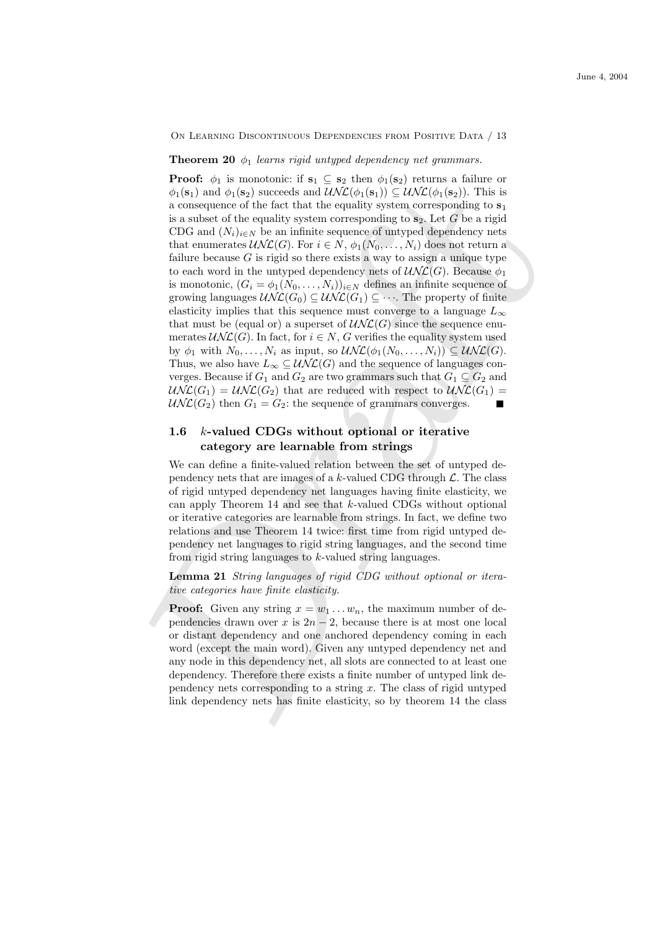#### **Theorem 20**  $\phi_1$  learns rigid untyped dependency net grammars.

 $\phi_1(s_1)$  and  $\phi_1(s_2)$  succeeds and  $\mathcal{U}/\mathcal{K}(\phi_1(s_1))$ . This is a subsequence of the fact that the equality system corresponding to s, it is a subset of the equality system corresponding to is a subset of the equal **Proof:**  $\phi_1$  is monotonic: if  $\mathbf{s}_1 \subseteq \mathbf{s}_2$  then  $\phi_1(\mathbf{s}_2)$  returns a failure or  $\phi_1(\mathbf{s}_1)$  and  $\phi_1(\mathbf{s}_2)$  succeeds and  $\mathcal{UNL}(\phi_1(\mathbf{s}_1)) \subseteq \mathcal{UNL}(\phi_1(\mathbf{s}_2))$ . This is a consequence of the fact that the equality system corresponding to  $s_1$ is a subset of the equality system corresponding to  $s_2$ . Let G be a rigid CDG and  $(N_i)_{i\in\mathbb{N}}$  be an infinite sequence of untyped dependency nets that enumerates  $\mathcal{UNL}(G)$ . For  $i \in N$ ,  $\phi_1(N_0, \ldots, N_i)$  does not return a failure because  $G$  is rigid so there exists a way to assign a unique type to each word in the untyped dependency nets of  $\mathcal{UNL}(G)$ . Because  $\phi_1$ is monotonic,  $(G_i = \phi_1(N_0, \ldots, N_i))_{i \in N}$  defines an infinite sequence of growing languages  $\mathcal{UNL}(G_0) \subseteq \mathcal{UNL}(G_1) \subseteq \cdots$ . The property of finite elasticity implies that this sequence must converge to a language  $L_{\infty}$ that must be (equal or) a superset of  $\mathcal{UNL}(G)$  since the sequence enumerates  $\mathcal{UNL}(G)$ . In fact, for  $i \in N$ , G verifies the equality system used by  $\phi_1$  with  $N_0, \ldots, N_i$  as input, so  $\mathcal{UNL}(\phi_1(N_0, \ldots, N_i)) \subseteq \mathcal{UNL}(G)$ . Thus, we also have  $L_{\infty} \subseteq \mathcal{UNL}(G)$  and the sequence of languages converges. Because if  $G_1$  and  $G_2$  are two grammars such that  $G_1 \subseteq G_2$  and  $\mathcal{UNL}(G_1) = \mathcal{UNL}(G_2)$  that are reduced with respect to  $\mathcal{UNL}(G_1) =$  $\mathcal{UNL}(G_2)$  then  $G_1 = G_2$ : the sequence of grammars converges.

# 1.6 k-valued CDGs without optional or iterative category are learnable from strings

We can define a finite-valued relation between the set of untyped dependency nets that are images of a  $k$ -valued CDG through  $\mathcal{L}$ . The class of rigid untyped dependency net languages having finite elasticity, we can apply Theorem 14 and see that k-valued CDGs without optional or iterative categories are learnable from strings. In fact, we define two relations and use Theorem 14 twice: first time from rigid untyped dependency net languages to rigid string languages, and the second time from rigid string languages to k-valued string languages.

Lemma 21 String languages of rigid CDG without optional or iterative categories have finite elasticity.

**Proof:** Given any string  $x = w_1 \dots w_n$ , the maximum number of dependencies drawn over x is  $2n - 2$ , because there is at most one local or distant dependency and one anchored dependency coming in each word (except the main word). Given any untyped dependency net and any node in this dependency net, all slots are connected to at least one dependency. Therefore there exists a finite number of untyped link dependency nets corresponding to a string  $x$ . The class of rigid untyped link dependency nets has finite elasticity, so by theorem 14 the class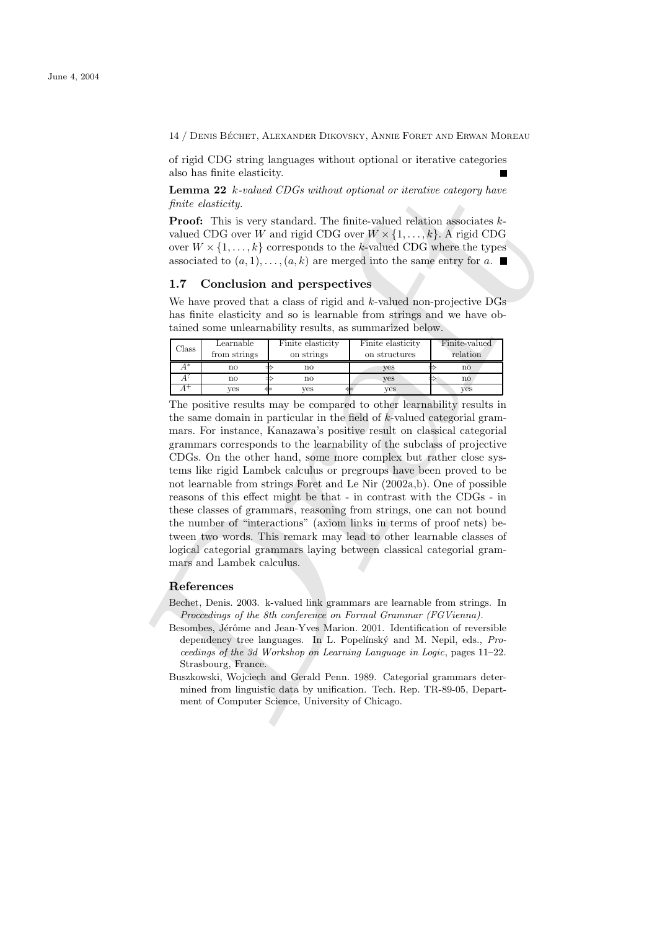of rigid CDG string languages without optional or iterative categories also has finite elasticity.

**Lemma 22**  $k$ -valued CDGs without optional or iterative category have finite elasticity.

Proof: This is very standard. The finite-valued relation associates kvalued CDG over W and rigid CDG over  $W \times \{1, \ldots, k\}$ . A rigid CDG over  $W \times \{1, \ldots, k\}$  corresponds to the k-valued CDG where the types associated to  $(a, 1), \ldots, (a, k)$  are merged into the same entry for a.

#### 1.7 Conclusion and perspectives

We have proved that a class of rigid and  $k$ -valued non-projective  $\overline{\text{DGs}}$ has finite elasticity and so is learnable from strings and we have obtained some unlearnability results, as summarized below.

| $\gamma$ lass | Learnable<br>from strings | Finite elasticity<br>on strings | Finite elasticity<br>on structures | Finite-valued<br>relation |
|---------------|---------------------------|---------------------------------|------------------------------------|---------------------------|
| $A^*$         | no                        | no                              | yes                                | $\mathbf{n}\mathbf{o}$    |
|               | no                        | $\mathbf{n}\mathbf{o}$          | ves                                | $\mathbf{n}$              |
|               | yes                       | ves                             | ves                                | ves                       |

Lemma 22 *k*-tabled *CDGs* without optional or iterative category have<br>
Lemma 22 *k*-tabled CDG over  $W \times \{1, ..., k\}$  corresponds to the k-valued relation associates *k*-<br>
valued CDG over  $W \times \{1, ..., k\}$  corresponds to the k-v The positive results may be compared to other learnability results in the same domain in particular in the field of k-valued categorial grammars. For instance, Kanazawa's positive result on classical categorial grammars corresponds to the learnability of the subclass of projective CDGs. On the other hand, some more complex but rather close systems like rigid Lambek calculus or pregroups have been proved to be not learnable from strings Foret and Le Nir (2002a,b). One of possible reasons of this effect might be that - in contrast with the CDGs - in these classes of grammars, reasoning from strings, one can not bound the number of "interactions" (axiom links in terms of proof nets) between two words. This remark may lead to other learnable classes of logical categorial grammars laying between classical categorial grammars and Lambek calculus.

## References

- Bechet, Denis. 2003. k-valued link grammars are learnable from strings. In Proccedings of the 8th conference on Formal Grammar (FGVienna).
- Besombes, Jérôme and Jean-Yves Marion. 2001. Identification of reversible dependency tree languages. In L. Popelínský and M. Nepil, eds., Proceedings of the 3d Workshop on Learning Language in Logic, pages 11–22. Strasbourg, France.
- Buszkowski, Wojciech and Gerald Penn. 1989. Categorial grammars determined from linguistic data by unification. Tech. Rep. TR-89-05, Department of Computer Science, University of Chicago.